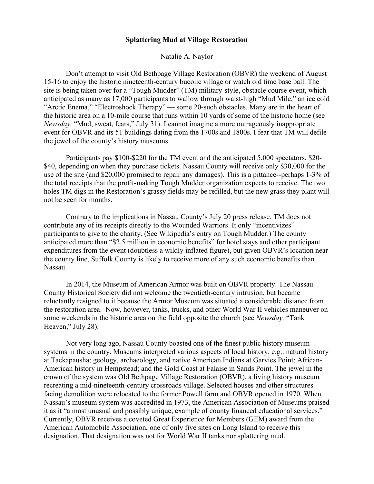## **Splattering Mud at Village Restoration**

Natalie A. Naylor

Don't attempt to visit Old Bethpage Village Restoration (OBVR) the weekend of August 15-16 to enjoy the historic nineteenth-century bucolic village or watch old time base ball. The site is being taken over for a "Tough Mudder" (TM) military-style, obstacle course event, which anticipated as many as 17,000 participants to wallow through waist-high "Mud Mile," an ice cold "Arctic Enema," "Electroshock Therapy" — some 20-such obstacles. Many are in the heart of the historic area on a 10-mile course that runs within 10 yards of some of the historic home (see *Newsday,* "Mud, sweat, fears," July 31). I cannot imagine a more outrageously inappropriate event for OBVR and its 51 buildings dating from the 1700s and 1800s. I fear that TM will defile the jewel of the county's history museums.

Participants pay \$100-\$220 for the TM event and the anticipated 5,000 spectators, \$20- \$40, depending on when they purchase tickets. Nassau County will receive only \$30,000 for the use of the site (and \$20,000 promised to repair any damages). This is a pittance--perhaps 1-3% of the total receipts that the profit-making Tough Mudder organization expects to receive. The two holes TM digs in the Restoration's grassy fields may be refilled, but the new grass they plant will not be seen for months.

Contrary to the implications in Nassau County's July 20 press release, TM does not contribute any of its receipts directly to the Wounded Warriors. It only "incentivizes" participants to give to the charity. (See Wikipedia's entry on Tough Mudder.) The county anticipated more than "\$2.5 million in economic benefits" for hotel stays and other participant expenditures from the event (doubtless a wildly inflated figure), but given OBVR's location near the county line, Suffolk County is likely to receive more of any such economic benefits than Nassau.

In 2014, the Museum of American Armor was built on OBVR property. The Nassau County Historical Society did not welcome the twentieth-century intrusion, but became reluctantly resigned to it because the Armor Museum was situated a considerable distance from the restoration area. Now, however, tanks, trucks, and other World War II vehicles maneuver on some weekends in the historic area on the field opposite the church (see *Newsday,* "Tank Heaven," July 28).

Not very long ago, Nassau County boasted one of the finest public history museum systems in the country. Museums interpreted various aspects of local history, e.g.: natural history at Tackapausha; geology, archaeology, and native American Indians at Garvies Point; African-American history in Hempstead; and the Gold Coast at Falaise in Sands Point. The jewel in the crown of the system was Old Bethpage Village Restoration (OBVR), a living history museum recreating a mid-nineteenth-century crossroads village. Selected houses and other structures facing demolition were relocated to the former Powell farm and OBVR opened in 1970. When Nassau's museum system was accredited in 1973, the American Association of Museums praised it as it "a most unusual and possibly unique, example of county financed educational services." Currently, OBVR receives a coveted Great Experience for Members (GEM) award from the American Automobile Association, one of only five sites on Long Island to receive this designation. That designation was not for World War II tanks nor splattering mud.